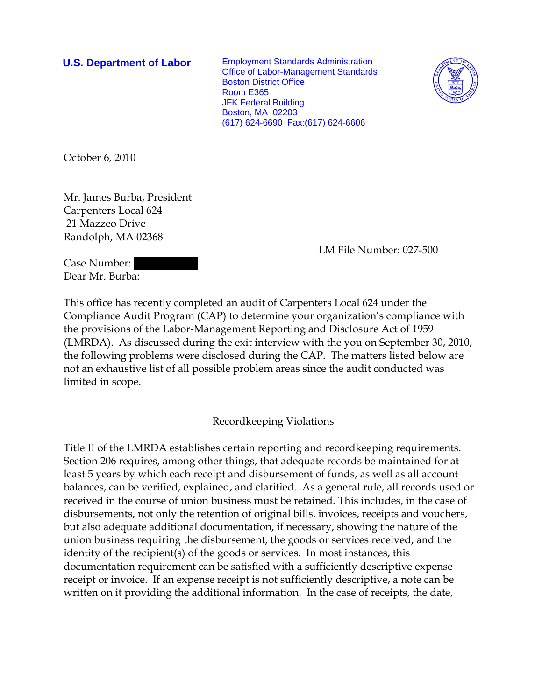**U.S. Department of Labor** Employment Standards Administration Office of Labor-Management Standards Boston District Office Room E365 JFK Federal Building Boston, MA 02203 (617) 624-6690 Fax:(617) 624-6606



October 6, 2010

Mr. James Burba, President Carpenters Local 624 21 Mazzeo Drive Randolph, MA 02368

LM File Number: 027-500

Case Number: Dear Mr. Burba:

This office has recently completed an audit of Carpenters Local 624 under the Compliance Audit Program (CAP) to determine your organization's compliance with the provisions of the Labor-Management Reporting and Disclosure Act of 1959 (LMRDA). As discussed during the exit interview with the you on September 30, 2010, the following problems were disclosed during the CAP. The matters listed below are not an exhaustive list of all possible problem areas since the audit conducted was limited in scope.

## Recordkeeping Violations

Title II of the LMRDA establishes certain reporting and recordkeeping requirements. Section 206 requires, among other things, that adequate records be maintained for at least 5 years by which each receipt and disbursement of funds, as well as all account balances, can be verified, explained, and clarified. As a general rule, all records used or received in the course of union business must be retained. This includes, in the case of disbursements, not only the retention of original bills, invoices, receipts and vouchers, but also adequate additional documentation, if necessary, showing the nature of the union business requiring the disbursement, the goods or services received, and the identity of the recipient(s) of the goods or services. In most instances, this documentation requirement can be satisfied with a sufficiently descriptive expense receipt or invoice. If an expense receipt is not sufficiently descriptive, a note can be written on it providing the additional information. In the case of receipts, the date,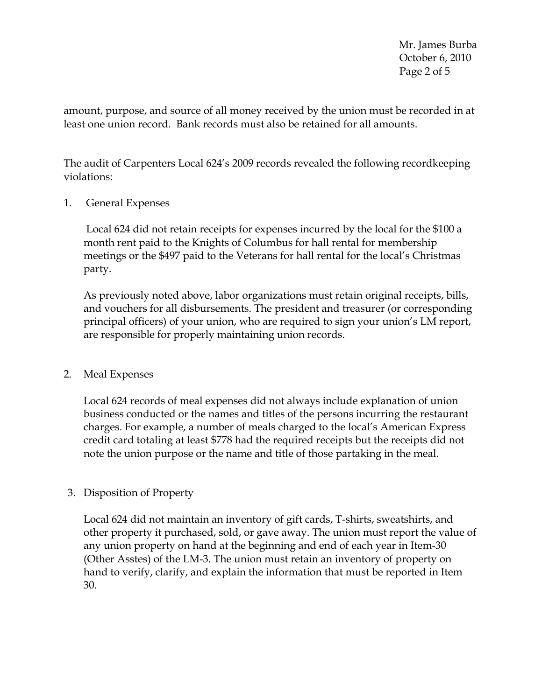Mr. James Burba October 6, 2010 Page 2 of 5

amount, purpose, and source of all money received by the union must be recorded in at least one union record. Bank records must also be retained for all amounts.

The audit of Carpenters Local 624's 2009 records revealed the following recordkeeping violations:

1. General Expenses

 Local 624 did not retain receipts for expenses incurred by the local for the \$100 a month rent paid to the Knights of Columbus for hall rental for membership meetings or the \$497 paid to the Veterans for hall rental for the local's Christmas party.

As previously noted above, labor organizations must retain original receipts, bills, and vouchers for all disbursements. The president and treasurer (or corresponding principal officers) of your union, who are required to sign your union's LM report, are responsible for properly maintaining union records.

## 2. Meal Expenses

Local 624 records of meal expenses did not always include explanation of union business conducted or the names and titles of the persons incurring the restaurant charges. For example, a number of meals charged to the local's American Express credit card totaling at least \$778 had the required receipts but the receipts did not note the union purpose or the name and title of those partaking in the meal.

# 3. Disposition of Property

Local 624 did not maintain an inventory of gift cards, T-shirts, sweatshirts, and other property it purchased, sold, or gave away. The union must report the value of any union property on hand at the beginning and end of each year in Item-30 (Other Asstes) of the LM-3. The union must retain an inventory of property on hand to verify, clarify, and explain the information that must be reported in Item 30.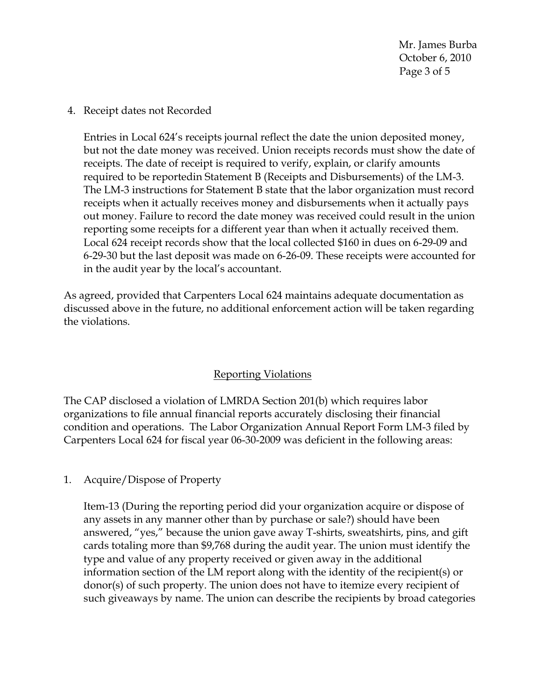Mr. James Burba October 6, 2010 Page 3 of 5

4. Receipt dates not Recorded

Entries in Local 624's receipts journal reflect the date the union deposited money, but not the date money was received. Union receipts records must show the date of receipts. The date of receipt is required to verify, explain, or clarify amounts required to be reportedin Statement B (Receipts and Disbursements) of the LM-3. The LM-3 instructions for Statement B state that the labor organization must record receipts when it actually receives money and disbursements when it actually pays out money. Failure to record the date money was received could result in the union reporting some receipts for a different year than when it actually received them. Local 624 receipt records show that the local collected \$160 in dues on 6-29-09 and 6-29-30 but the last deposit was made on 6-26-09. These receipts were accounted for in the audit year by the local's accountant.

As agreed, provided that Carpenters Local 624 maintains adequate documentation as discussed above in the future, no additional enforcement action will be taken regarding the violations.

# Reporting Violations

The CAP disclosed a violation of LMRDA Section 201(b) which requires labor organizations to file annual financial reports accurately disclosing their financial condition and operations. The Labor Organization Annual Report Form LM-3 filed by Carpenters Local 624 for fiscal year 06-30-2009 was deficient in the following areas:

1. Acquire/Dispose of Property

Item-13 (During the reporting period did your organization acquire or dispose of any assets in any manner other than by purchase or sale?) should have been answered, "yes," because the union gave away T-shirts, sweatshirts, pins, and gift cards totaling more than \$9,768 during the audit year. The union must identify the type and value of any property received or given away in the additional information section of the LM report along with the identity of the recipient(s) or donor(s) of such property. The union does not have to itemize every recipient of such giveaways by name. The union can describe the recipients by broad categories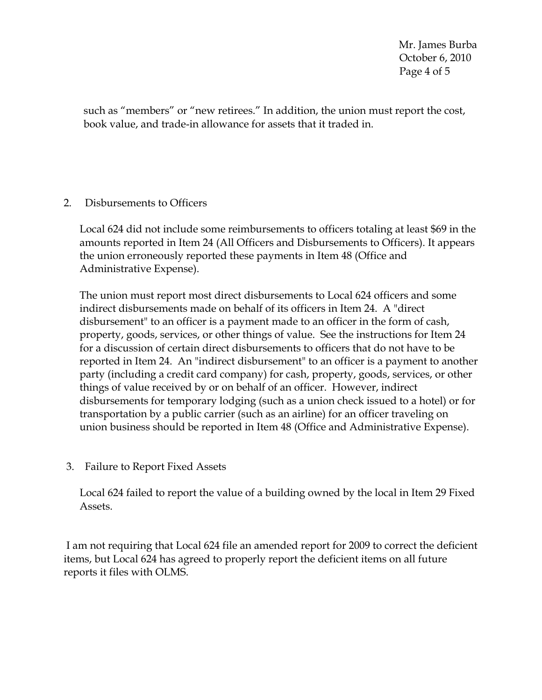Mr. James Burba October 6, 2010 Page 4 of 5

such as "members" or "new retirees." In addition, the union must report the cost, book value, and trade-in allowance for assets that it traded in.

## 2. Disbursements to Officers

Local 624 did not include some reimbursements to officers totaling at least \$69 in the amounts reported in Item 24 (All Officers and Disbursements to Officers). It appears the union erroneously reported these payments in Item 48 (Office and Administrative Expense).

The union must report most direct disbursements to Local 624 officers and some indirect disbursements made on behalf of its officers in Item 24. A "direct disbursement" to an officer is a payment made to an officer in the form of cash, property, goods, services, or other things of value. See the instructions for Item 24 for a discussion of certain direct disbursements to officers that do not have to be reported in Item 24. An "indirect disbursement" to an officer is a payment to another party (including a credit card company) for cash, property, goods, services, or other things of value received by or on behalf of an officer. However, indirect disbursements for temporary lodging (such as a union check issued to a hotel) or for transportation by a public carrier (such as an airline) for an officer traveling on union business should be reported in Item 48 (Office and Administrative Expense).

3. Failure to Report Fixed Assets

Local 624 failed to report the value of a building owned by the local in Item 29 Fixed Assets.

 I am not requiring that Local 624 file an amended report for 2009 to correct the deficient items, but Local 624 has agreed to properly report the deficient items on all future reports it files with OLMS.